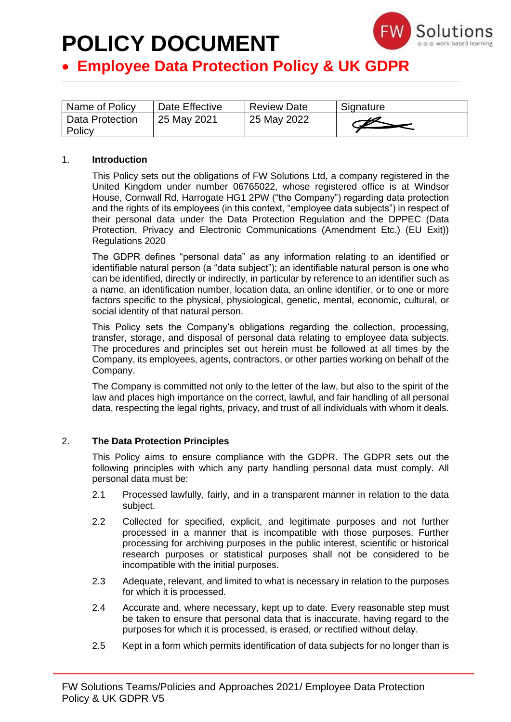

## • **Employee Data Protection Policy & UK GDPR**

| Name of Policy              | Date Effective | <b>Review Date</b> | Signature |
|-----------------------------|----------------|--------------------|-----------|
| Data Protection<br>  Policy | 25 May 2021    | 25 May 2022        |           |

### 1. **Introduction**

This Policy sets out the obligations of FW Solutions Ltd, a company registered in the United Kingdom under number 06765022, whose registered office is at Windsor House, Cornwall Rd, Harrogate HG1 2PW ("the Company") regarding data protection and the rights of its employees (in this context, "employee data subjects") in respect of their personal data under the Data Protection Regulation and the [DPPEC \(Data](https://www.legislation.gov.uk/uksi/2019/419/contents/made)  [Protection, Privacy and Electronic Communications \(Amendment Etc.\) \(EU Exit\)\)](https://www.legislation.gov.uk/uksi/2019/419/contents/made)  [Regulations 2020](https://www.legislation.gov.uk/uksi/2019/419/contents/made)

The GDPR defines "personal data" as any information relating to an identified or identifiable natural person (a "data subject"); an identifiable natural person is one who can be identified, directly or indirectly, in particular by reference to an identifier such as a name, an identification number, location data, an online identifier, or to one or more factors specific to the physical, physiological, genetic, mental, economic, cultural, or social identity of that natural person.

This Policy sets the Company's obligations regarding the collection, processing, transfer, storage, and disposal of personal data relating to employee data subjects. The procedures and principles set out herein must be followed at all times by the Company, its employees, agents, contractors, or other parties working on behalf of the Company.

The Company is committed not only to the letter of the law, but also to the spirit of the law and places high importance on the correct, lawful, and fair handling of all personal data, respecting the legal rights, privacy, and trust of all individuals with whom it deals.

### 2. **The Data Protection Principles**

This Policy aims to ensure compliance with the GDPR. The GDPR sets out the following principles with which any party handling personal data must comply. All personal data must be:

- 2.1 Processed lawfully, fairly, and in a transparent manner in relation to the data subject.
- 2.2 Collected for specified, explicit, and legitimate purposes and not further processed in a manner that is incompatible with those purposes. Further processing for archiving purposes in the public interest, scientific or historical research purposes or statistical purposes shall not be considered to be incompatible with the initial purposes.
- 2.3 Adequate, relevant, and limited to what is necessary in relation to the purposes for which it is processed.
- 2.4 Accurate and, where necessary, kept up to date. Every reasonable step must be taken to ensure that personal data that is inaccurate, having regard to the purposes for which it is processed, is erased, or rectified without delay.
- 2.5 Kept in a form which permits identification of data subjects for no longer than is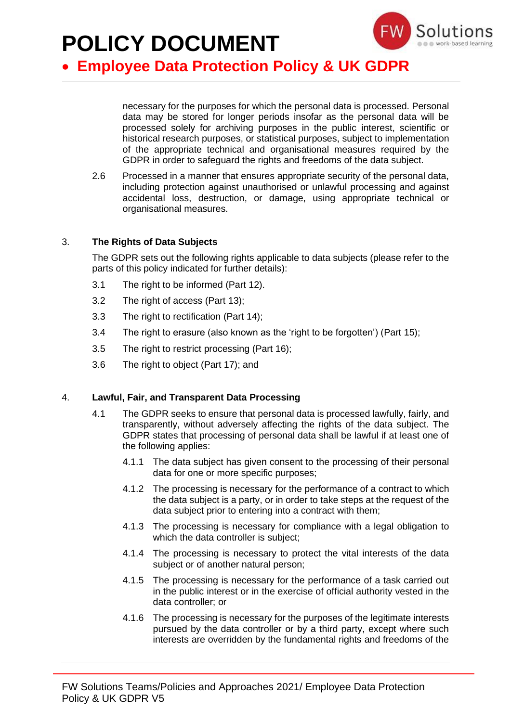

## • **Employee Data Protection Policy & UK GDPR**

necessary for the purposes for which the personal data is processed. Personal data may be stored for longer periods insofar as the personal data will be processed solely for archiving purposes in the public interest, scientific or historical research purposes, or statistical purposes, subject to implementation of the appropriate technical and organisational measures required by the GDPR in order to safeguard the rights and freedoms of the data subject.

2.6 Processed in a manner that ensures appropriate security of the personal data, including protection against unauthorised or unlawful processing and against accidental loss, destruction, or damage, using appropriate technical or organisational measures.

### 3. **The Rights of Data Subjects**

The GDPR sets out the following rights applicable to data subjects (please refer to the parts of this policy indicated for further details):

- 3.1 The right to be informed (Part 12).
- 3.2 The right of access (Part 13);
- 3.3 The right to rectification (Part 14);
- 3.4 The right to erasure (also known as the 'right to be forgotten') (Part 15);
- 3.5 The right to restrict processing (Part 16):
- 3.6 The right to object (Part 17); and

### 4. **Lawful, Fair, and Transparent Data Processing**

- 4.1 The GDPR seeks to ensure that personal data is processed lawfully, fairly, and transparently, without adversely affecting the rights of the data subject. The GDPR states that processing of personal data shall be lawful if at least one of the following applies:
	- 4.1.1 The data subject has given consent to the processing of their personal data for one or more specific purposes;
	- 4.1.2 The processing is necessary for the performance of a contract to which the data subject is a party, or in order to take steps at the request of the data subject prior to entering into a contract with them;
	- 4.1.3 The processing is necessary for compliance with a legal obligation to which the data controller is subject;
	- 4.1.4 The processing is necessary to protect the vital interests of the data subject or of another natural person;
	- 4.1.5 The processing is necessary for the performance of a task carried out in the public interest or in the exercise of official authority vested in the data controller; or
	- 4.1.6 The processing is necessary for the purposes of the legitimate interests pursued by the data controller or by a third party, except where such interests are overridden by the fundamental rights and freedoms of the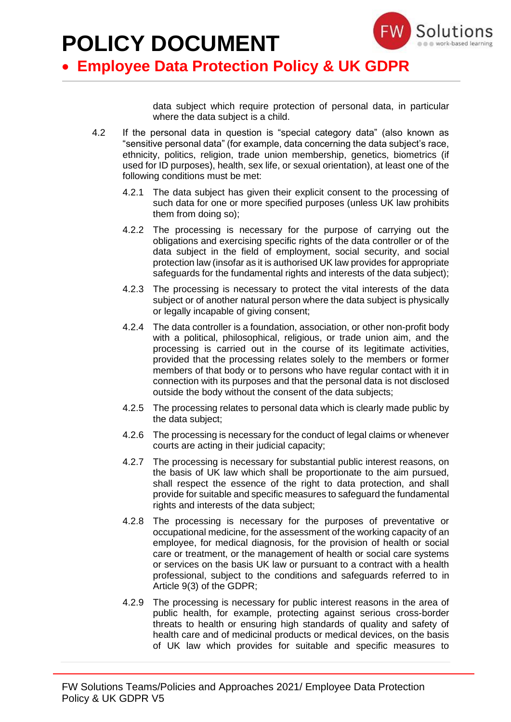

### • **Employee Data Protection Policy & UK GDPR**

data subject which require protection of personal data, in particular where the data subject is a child.

- 4.2 If the personal data in question is "special category data" (also known as "sensitive personal data" (for example, data concerning the data subject's race, ethnicity, politics, religion, trade union membership, genetics, biometrics (if used for ID purposes), health, sex life, or sexual orientation), at least one of the following conditions must be met:
	- 4.2.1 The data subject has given their explicit consent to the processing of such data for one or more specified purposes (unless UK law prohibits them from doing so);
	- 4.2.2 The processing is necessary for the purpose of carrying out the obligations and exercising specific rights of the data controller or of the data subject in the field of employment, social security, and social protection law (insofar as it is authorised UK law provides for appropriate safeguards for the fundamental rights and interests of the data subject);
	- 4.2.3 The processing is necessary to protect the vital interests of the data subject or of another natural person where the data subject is physically or legally incapable of giving consent;
	- 4.2.4 The data controller is a foundation, association, or other non-profit body with a political, philosophical, religious, or trade union aim, and the processing is carried out in the course of its legitimate activities, provided that the processing relates solely to the members or former members of that body or to persons who have regular contact with it in connection with its purposes and that the personal data is not disclosed outside the body without the consent of the data subjects;
	- 4.2.5 The processing relates to personal data which is clearly made public by the data subject;
	- 4.2.6 The processing is necessary for the conduct of legal claims or whenever courts are acting in their judicial capacity;
	- 4.2.7 The processing is necessary for substantial public interest reasons, on the basis of UK law which shall be proportionate to the aim pursued, shall respect the essence of the right to data protection, and shall provide for suitable and specific measures to safeguard the fundamental rights and interests of the data subject;
	- 4.2.8 The processing is necessary for the purposes of preventative or occupational medicine, for the assessment of the working capacity of an employee, for medical diagnosis, for the provision of health or social care or treatment, or the management of health or social care systems or services on the basis UK law or pursuant to a contract with a health professional, subject to the conditions and safeguards referred to in Article 9(3) of the GDPR;
	- 4.2.9 The processing is necessary for public interest reasons in the area of public health, for example, protecting against serious cross-border threats to health or ensuring high standards of quality and safety of health care and of medicinal products or medical devices, on the basis of UK law which provides for suitable and specific measures to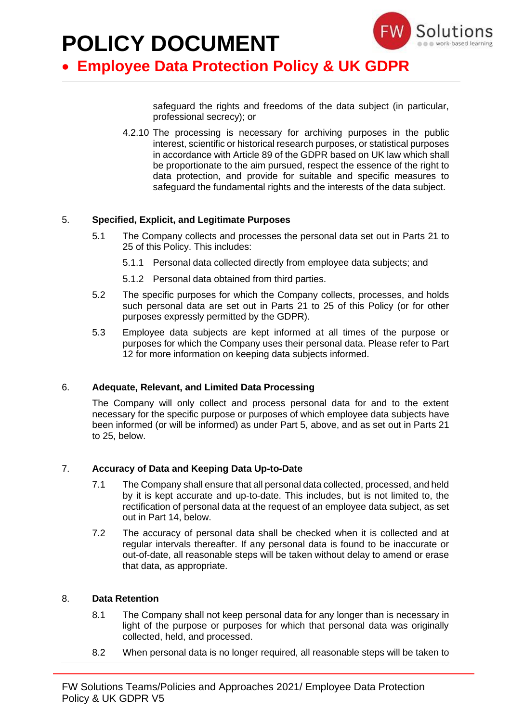

### • **Employee Data Protection Policy & UK GDPR**

safeguard the rights and freedoms of the data subject (in particular, professional secrecy); or

4.2.10 The processing is necessary for archiving purposes in the public interest, scientific or historical research purposes, or statistical purposes in accordance with Article 89 of the GDPR based on UK law which shall be proportionate to the aim pursued, respect the essence of the right to data protection, and provide for suitable and specific measures to safeguard the fundamental rights and the interests of the data subject.

### 5. **Specified, Explicit, and Legitimate Purposes**

- 5.1 The Company collects and processes the personal data set out in Parts 21 to 25 of this Policy. This includes:
	- 5.1.1 Personal data collected directly from employee data subjects; and
	- 5.1.2 Personal data obtained from third parties.
- 5.2 The specific purposes for which the Company collects, processes, and holds such personal data are set out in Parts 21 to 25 of this Policy (or for other purposes expressly permitted by the GDPR).
- 5.3 Employee data subjects are kept informed at all times of the purpose or purposes for which the Company uses their personal data. Please refer to Part 12 for more information on keeping data subjects informed.

### 6. **Adequate, Relevant, and Limited Data Processing**

The Company will only collect and process personal data for and to the extent necessary for the specific purpose or purposes of which employee data subjects have been informed (or will be informed) as under Part 5, above, and as set out in Parts 21 to 25, below.

### 7. **Accuracy of Data and Keeping Data Up-to-Date**

- 7.1 The Company shall ensure that all personal data collected, processed, and held by it is kept accurate and up-to-date. This includes, but is not limited to, the rectification of personal data at the request of an employee data subject, as set out in Part 14, below.
- 7.2 The accuracy of personal data shall be checked when it is collected and at regular intervals thereafter. If any personal data is found to be inaccurate or out-of-date, all reasonable steps will be taken without delay to amend or erase that data, as appropriate.

### 8. **Data Retention**

- 8.1 The Company shall not keep personal data for any longer than is necessary in light of the purpose or purposes for which that personal data was originally collected, held, and processed.
- 8.2 When personal data is no longer required, all reasonable steps will be taken to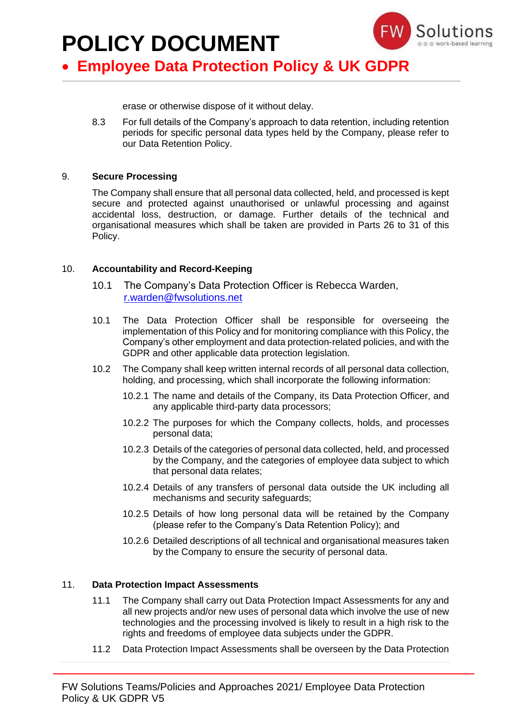

## • **Employee Data Protection Policy & UK GDPR**

erase or otherwise dispose of it without delay.

8.3 For full details of the Company's approach to data retention, including retention periods for specific personal data types held by the Company, please refer to our Data Retention Policy.

### 9. **Secure Processing**

The Company shall ensure that all personal data collected, held, and processed is kept secure and protected against unauthorised or unlawful processing and against accidental loss, destruction, or damage. Further details of the technical and organisational measures which shall be taken are provided in Parts 26 to 31 of this Policy.

### 10. **Accountability and Record-Keeping**

- 10.1 The Company's Data Protection Officer is Rebecca Warden, [r.warden@fwsolutions.net](mailto:r.warden@fwsolutions.net)
- 10.1 The Data Protection Officer shall be responsible for overseeing the implementation of this Policy and for monitoring compliance with this Policy, the Company's other employment and data protection-related policies, and with the GDPR and other applicable data protection legislation.
- 10.2 The Company shall keep written internal records of all personal data collection, holding, and processing, which shall incorporate the following information:
	- 10.2.1 The name and details of the Company, its Data Protection Officer, and any applicable third-party data processors;
	- 10.2.2 The purposes for which the Company collects, holds, and processes personal data;
	- 10.2.3 Details of the categories of personal data collected, held, and processed by the Company, and the categories of employee data subject to which that personal data relates;
	- 10.2.4 Details of any transfers of personal data outside the UK including all mechanisms and security safeguards;
	- 10.2.5 Details of how long personal data will be retained by the Company (please refer to the Company's Data Retention Policy); and
	- 10.2.6 Detailed descriptions of all technical and organisational measures taken by the Company to ensure the security of personal data.

### 11. **Data Protection Impact Assessments**

- 11.1 The Company shall carry out Data Protection Impact Assessments for any and all new projects and/or new uses of personal data which involve the use of new technologies and the processing involved is likely to result in a high risk to the rights and freedoms of employee data subjects under the GDPR.
- 11.2 Data Protection Impact Assessments shall be overseen by the Data Protection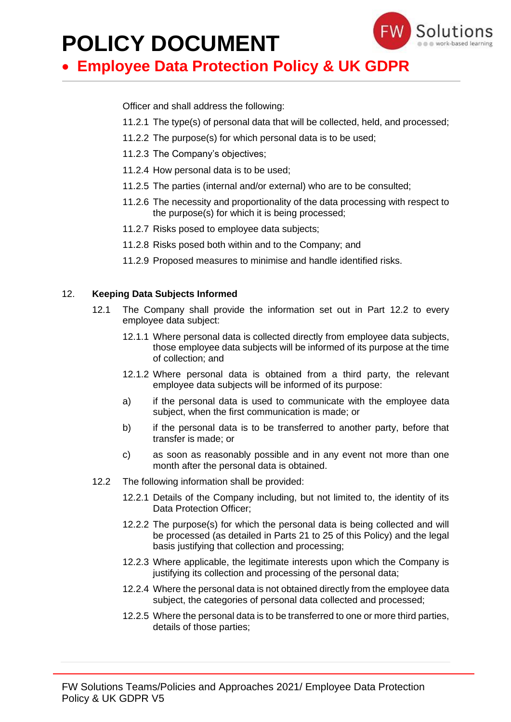

## • **Employee Data Protection Policy & UK GDPR**

Officer and shall address the following:

- 11.2.1 The type(s) of personal data that will be collected, held, and processed;
- 11.2.2 The purpose(s) for which personal data is to be used;
- 11.2.3 The Company's objectives;
- 11.2.4 How personal data is to be used;
- 11.2.5 The parties (internal and/or external) who are to be consulted;
- 11.2.6 The necessity and proportionality of the data processing with respect to the purpose(s) for which it is being processed;
- 11.2.7 Risks posed to employee data subjects;
- 11.2.8 Risks posed both within and to the Company; and
- 11.2.9 Proposed measures to minimise and handle identified risks.

### 12. **Keeping Data Subjects Informed**

- 12.1 The Company shall provide the information set out in Part 12.2 to every employee data subject:
	- 12.1.1 Where personal data is collected directly from employee data subjects, those employee data subjects will be informed of its purpose at the time of collection; and
	- 12.1.2 Where personal data is obtained from a third party, the relevant employee data subjects will be informed of its purpose:
	- a) if the personal data is used to communicate with the employee data subject, when the first communication is made; or
	- b) if the personal data is to be transferred to another party, before that transfer is made; or
	- c) as soon as reasonably possible and in any event not more than one month after the personal data is obtained.
- 12.2 The following information shall be provided:
	- 12.2.1 Details of the Company including, but not limited to, the identity of its Data Protection Officer;
	- 12.2.2 The purpose(s) for which the personal data is being collected and will be processed (as detailed in Parts 21 to 25 of this Policy) and the legal basis justifying that collection and processing;
	- 12.2.3 Where applicable, the legitimate interests upon which the Company is justifying its collection and processing of the personal data;
	- 12.2.4 Where the personal data is not obtained directly from the employee data subject, the categories of personal data collected and processed:
	- 12.2.5 Where the personal data is to be transferred to one or more third parties, details of those parties;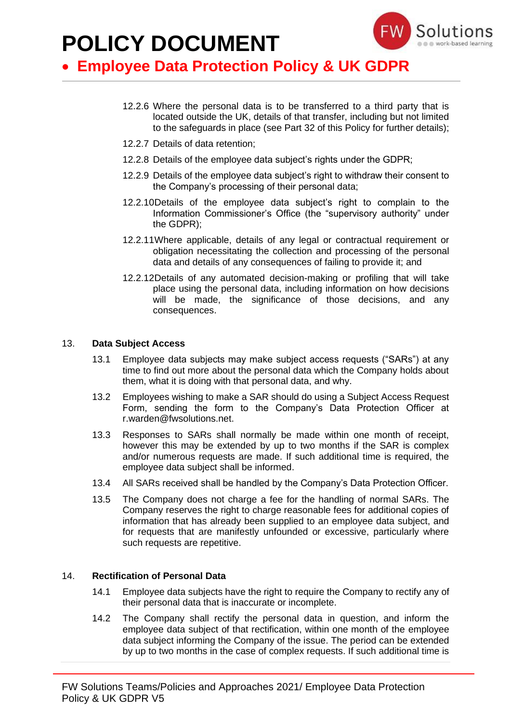

### • **Employee Data Protection Policy & UK GDPR**

- 12.2.6 Where the personal data is to be transferred to a third party that is located outside the UK, details of that transfer, including but not limited to the safeguards in place (see Part 32 of this Policy for further details);
- 12.2.7 Details of data retention;
- 12.2.8 Details of the employee data subject's rights under the GDPR;
- 12.2.9 Details of the employee data subject's right to withdraw their consent to the Company's processing of their personal data;
- 12.2.10Details of the employee data subject's right to complain to the Information Commissioner's Office (the "supervisory authority" under the GDPR);
- 12.2.11Where applicable, details of any legal or contractual requirement or obligation necessitating the collection and processing of the personal data and details of any consequences of failing to provide it; and
- 12.2.12Details of any automated decision-making or profiling that will take place using the personal data, including information on how decisions will be made, the significance of those decisions, and any consequences.

#### 13. **Data Subject Access**

- 13.1 Employee data subjects may make subject access requests ("SARs") at any time to find out more about the personal data which the Company holds about them, what it is doing with that personal data, and why.
- 13.2 Employees wishing to make a SAR should do using a Subject Access Request Form, sending the form to the Company's Data Protection Officer at r.warden@fwsolutions.net.
- 13.3 Responses to SARs shall normally be made within one month of receipt, however this may be extended by up to two months if the SAR is complex and/or numerous requests are made. If such additional time is required, the employee data subject shall be informed.
- 13.4 All SARs received shall be handled by the Company's Data Protection Officer.
- 13.5 The Company does not charge a fee for the handling of normal SARs. The Company reserves the right to charge reasonable fees for additional copies of information that has already been supplied to an employee data subject, and for requests that are manifestly unfounded or excessive, particularly where such requests are repetitive.

#### 14. **Rectification of Personal Data**

- 14.1 Employee data subjects have the right to require the Company to rectify any of their personal data that is inaccurate or incomplete.
- 14.2 The Company shall rectify the personal data in question, and inform the employee data subject of that rectification, within one month of the employee data subject informing the Company of the issue. The period can be extended by up to two months in the case of complex requests. If such additional time is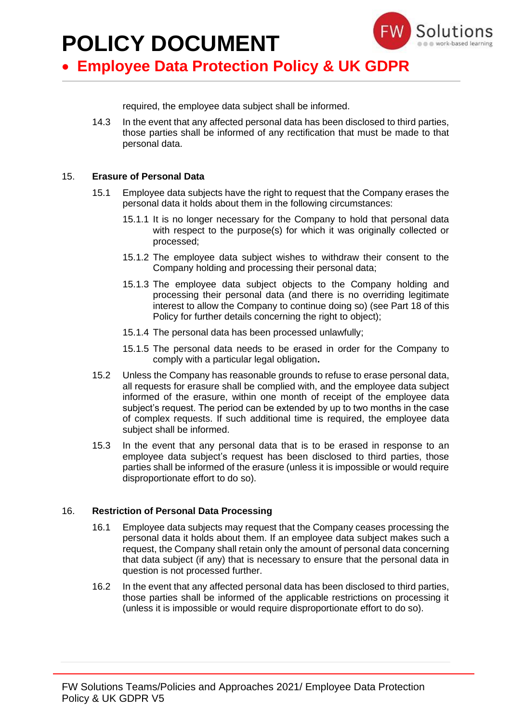

## • **Employee Data Protection Policy & UK GDPR**

required, the employee data subject shall be informed.

14.3 In the event that any affected personal data has been disclosed to third parties, those parties shall be informed of any rectification that must be made to that personal data.

### 15. **Erasure of Personal Data**

- 15.1 Employee data subjects have the right to request that the Company erases the personal data it holds about them in the following circumstances:
	- 15.1.1 It is no longer necessary for the Company to hold that personal data with respect to the purpose(s) for which it was originally collected or processed;
	- 15.1.2 The employee data subject wishes to withdraw their consent to the Company holding and processing their personal data;
	- 15.1.3 The employee data subject objects to the Company holding and processing their personal data (and there is no overriding legitimate interest to allow the Company to continue doing so) (see Part 18 of this Policy for further details concerning the right to object);
	- 15.1.4 The personal data has been processed unlawfully;
	- 15.1.5 The personal data needs to be erased in order for the Company to comply with a particular legal obligation**.**
- 15.2 Unless the Company has reasonable grounds to refuse to erase personal data, all requests for erasure shall be complied with, and the employee data subject informed of the erasure, within one month of receipt of the employee data subject's request. The period can be extended by up to two months in the case of complex requests. If such additional time is required, the employee data subject shall be informed.
- 15.3 In the event that any personal data that is to be erased in response to an employee data subject's request has been disclosed to third parties, those parties shall be informed of the erasure (unless it is impossible or would require disproportionate effort to do so).

### 16. **Restriction of Personal Data Processing**

- 16.1 Employee data subjects may request that the Company ceases processing the personal data it holds about them. If an employee data subject makes such a request, the Company shall retain only the amount of personal data concerning that data subject (if any) that is necessary to ensure that the personal data in question is not processed further.
- 16.2 In the event that any affected personal data has been disclosed to third parties, those parties shall be informed of the applicable restrictions on processing it (unless it is impossible or would require disproportionate effort to do so).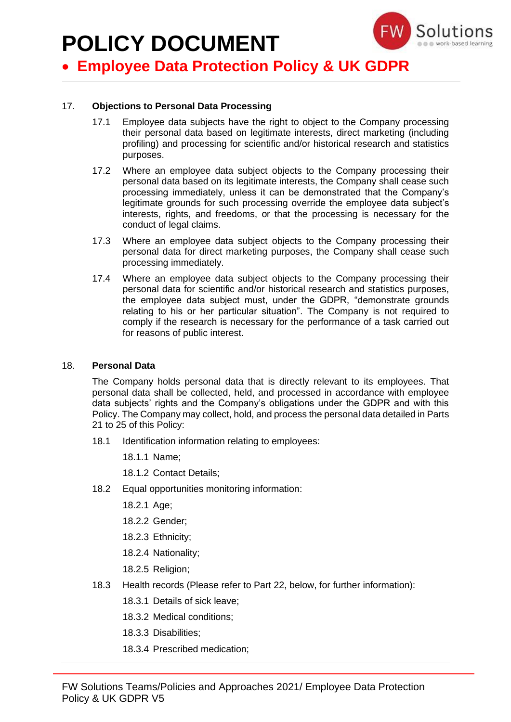

## • **Employee Data Protection Policy & UK GDPR**

### 17. **Objections to Personal Data Processing**

- 17.1 Employee data subjects have the right to object to the Company processing their personal data based on legitimate interests, direct marketing (including profiling) and processing for scientific and/or historical research and statistics purposes.
- 17.2 Where an employee data subject objects to the Company processing their personal data based on its legitimate interests, the Company shall cease such processing immediately, unless it can be demonstrated that the Company's legitimate grounds for such processing override the employee data subject's interests, rights, and freedoms, or that the processing is necessary for the conduct of legal claims.
- 17.3 Where an employee data subject objects to the Company processing their personal data for direct marketing purposes, the Company shall cease such processing immediately.
- 17.4 Where an employee data subject objects to the Company processing their personal data for scientific and/or historical research and statistics purposes, the employee data subject must, under the GDPR, "demonstrate grounds relating to his or her particular situation". The Company is not required to comply if the research is necessary for the performance of a task carried out for reasons of public interest.

### 18. **Personal Data**

The Company holds personal data that is directly relevant to its employees. That personal data shall be collected, held, and processed in accordance with employee data subjects' rights and the Company's obligations under the GDPR and with this Policy. The Company may collect, hold, and process the personal data detailed in Parts 21 to 25 of this Policy:

18.1 Identification information relating to employees:

18.1.1 Name;

18.1.2 Contact Details;

- 18.2 Equal opportunities monitoring information:
	- 18.2.1 Age;
	- 18.2.2 Gender;
	- 18.2.3 Ethnicity;
	- 18.2.4 Nationality;
	- 18.2.5 Religion;
- 18.3 Health records (Please refer to Part 22, below, for further information):
	- 18.3.1 Details of sick leave;
	- 18.3.2 Medical conditions;
	- 18.3.3 Disabilities;
	- 18.3.4 Prescribed medication;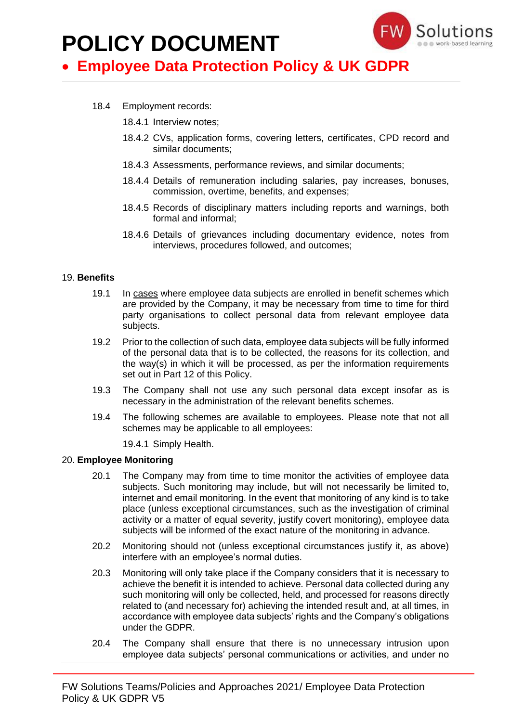

## • **Employee Data Protection Policy & UK GDPR**

- 18.4 Employment records:
	- 18.4.1 Interview notes;
	- 18.4.2 CVs, application forms, covering letters, certificates, CPD record and similar documents;
	- 18.4.3 Assessments, performance reviews, and similar documents;
	- 18.4.4 Details of remuneration including salaries, pay increases, bonuses, commission, overtime, benefits, and expenses;
	- 18.4.5 Records of disciplinary matters including reports and warnings, both formal and informal;
	- 18.4.6 Details of grievances including documentary evidence, notes from interviews, procedures followed, and outcomes;

### 19. **Benefits**

- 19.1 In cases where employee data subjects are enrolled in benefit schemes which are provided by the Company, it may be necessary from time to time for third party organisations to collect personal data from relevant employee data subjects.
- 19.2 Prior to the collection of such data, employee data subjects will be fully informed of the personal data that is to be collected, the reasons for its collection, and the way(s) in which it will be processed, as per the information requirements set out in Part 12 of this Policy.
- 19.3 The Company shall not use any such personal data except insofar as is necessary in the administration of the relevant benefits schemes.
- 19.4 The following schemes are available to employees. Please note that not all schemes may be applicable to all employees:

19.4.1 Simply Health.

### 20. **Employee Monitoring**

- 20.1 The Company may from time to time monitor the activities of employee data subjects. Such monitoring may include, but will not necessarily be limited to, internet and email monitoring. In the event that monitoring of any kind is to take place (unless exceptional circumstances, such as the investigation of criminal activity or a matter of equal severity, justify covert monitoring), employee data subjects will be informed of the exact nature of the monitoring in advance.
- 20.2 Monitoring should not (unless exceptional circumstances justify it, as above) interfere with an employee's normal duties.
- 20.3 Monitoring will only take place if the Company considers that it is necessary to achieve the benefit it is intended to achieve. Personal data collected during any such monitoring will only be collected, held, and processed for reasons directly related to (and necessary for) achieving the intended result and, at all times, in accordance with employee data subjects' rights and the Company's obligations under the GDPR.
- 20.4 The Company shall ensure that there is no unnecessary intrusion upon employee data subjects' personal communications or activities, and under no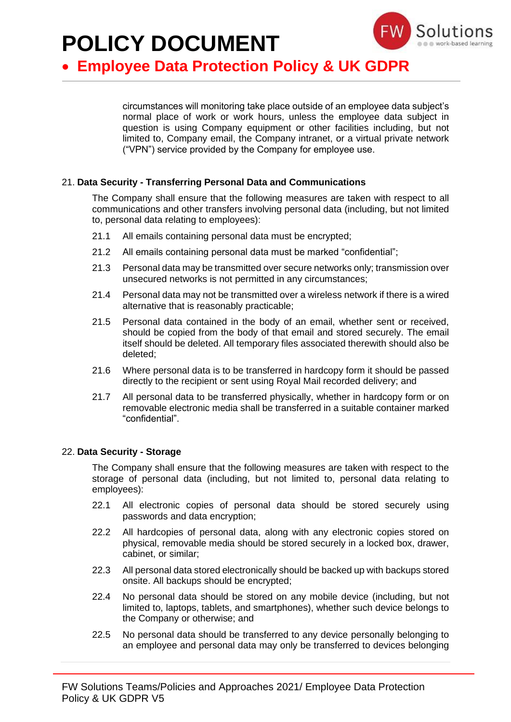

## • **Employee Data Protection Policy & UK GDPR**

circumstances will monitoring take place outside of an employee data subject's normal place of work or work hours, unless the employee data subject in question is using Company equipment or other facilities including, but not limited to, Company email, the Company intranet, or a virtual private network ("VPN") service provided by the Company for employee use.

### 21. **Data Security - Transferring Personal Data and Communications**

The Company shall ensure that the following measures are taken with respect to all communications and other transfers involving personal data (including, but not limited to, personal data relating to employees):

- 21.1 All emails containing personal data must be encrypted;
- 21.2 All emails containing personal data must be marked "confidential";
- 21.3 Personal data may be transmitted over secure networks only; transmission over unsecured networks is not permitted in any circumstances;
- 21.4 Personal data may not be transmitted over a wireless network if there is a wired alternative that is reasonably practicable;
- 21.5 Personal data contained in the body of an email, whether sent or received, should be copied from the body of that email and stored securely. The email itself should be deleted. All temporary files associated therewith should also be deleted;
- 21.6 Where personal data is to be transferred in hardcopy form it should be passed directly to the recipient or sent using Royal Mail recorded delivery; and
- 21.7 All personal data to be transferred physically, whether in hardcopy form or on removable electronic media shall be transferred in a suitable container marked "confidential".

### 22. **Data Security - Storage**

The Company shall ensure that the following measures are taken with respect to the storage of personal data (including, but not limited to, personal data relating to employees):

- 22.1 All electronic copies of personal data should be stored securely using passwords and data encryption;
- 22.2 All hardcopies of personal data, along with any electronic copies stored on physical, removable media should be stored securely in a locked box, drawer, cabinet, or similar;
- 22.3 All personal data stored electronically should be backed up with backups stored onsite. All backups should be encrypted;
- 22.4 No personal data should be stored on any mobile device (including, but not limited to, laptops, tablets, and smartphones), whether such device belongs to the Company or otherwise; and
- 22.5 No personal data should be transferred to any device personally belonging to an employee and personal data may only be transferred to devices belonging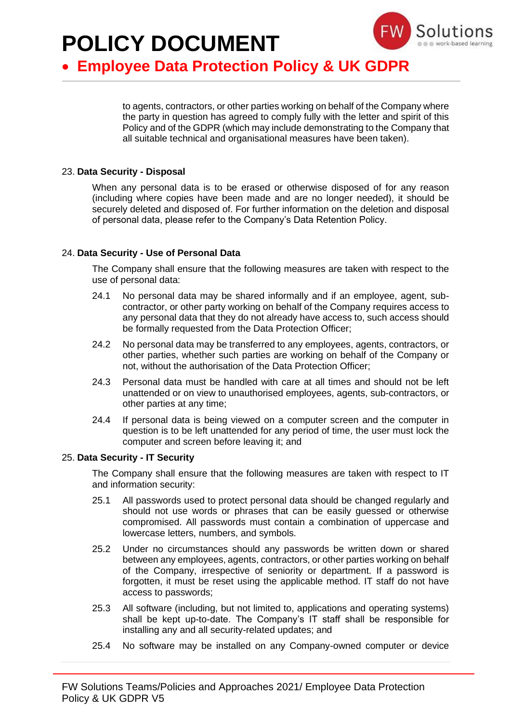

## • **Employee Data Protection Policy & UK GDPR**

to agents, contractors, or other parties working on behalf of the Company where the party in question has agreed to comply fully with the letter and spirit of this Policy and of the GDPR (which may include demonstrating to the Company that all suitable technical and organisational measures have been taken).

### 23. **Data Security - Disposal**

When any personal data is to be erased or otherwise disposed of for any reason (including where copies have been made and are no longer needed), it should be securely deleted and disposed of. For further information on the deletion and disposal of personal data, please refer to the Company's Data Retention Policy.

### 24. **Data Security - Use of Personal Data**

The Company shall ensure that the following measures are taken with respect to the use of personal data:

- 24.1 No personal data may be shared informally and if an employee, agent, subcontractor, or other party working on behalf of the Company requires access to any personal data that they do not already have access to, such access should be formally requested from the Data Protection Officer;
- 24.2 No personal data may be transferred to any employees, agents, contractors, or other parties, whether such parties are working on behalf of the Company or not, without the authorisation of the Data Protection Officer;
- 24.3 Personal data must be handled with care at all times and should not be left unattended or on view to unauthorised employees, agents, sub-contractors, or other parties at any time;
- 24.4 If personal data is being viewed on a computer screen and the computer in question is to be left unattended for any period of time, the user must lock the computer and screen before leaving it; and

### 25. **Data Security - IT Security**

The Company shall ensure that the following measures are taken with respect to IT and information security:

- 25.1 All passwords used to protect personal data should be changed regularly and should not use words or phrases that can be easily guessed or otherwise compromised. All passwords must contain a combination of uppercase and lowercase letters, numbers, and symbols.
- 25.2 Under no circumstances should any passwords be written down or shared between any employees, agents, contractors, or other parties working on behalf of the Company, irrespective of seniority or department. If a password is forgotten, it must be reset using the applicable method. IT staff do not have access to passwords;
- 25.3 All software (including, but not limited to, applications and operating systems) shall be kept up-to-date. The Company's IT staff shall be responsible for installing any and all security-related updates; and
- 25.4 No software may be installed on any Company-owned computer or device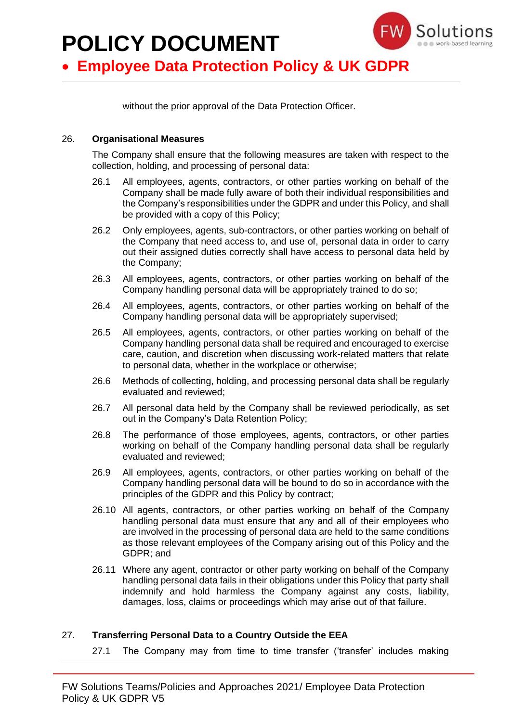

## • **Employee Data Protection Policy & UK GDPR**

without the prior approval of the Data Protection Officer.

### 26. **Organisational Measures**

The Company shall ensure that the following measures are taken with respect to the collection, holding, and processing of personal data:

- 26.1 All employees, agents, contractors, or other parties working on behalf of the Company shall be made fully aware of both their individual responsibilities and the Company's responsibilities under the GDPR and under this Policy, and shall be provided with a copy of this Policy;
- 26.2 Only employees, agents, sub-contractors, or other parties working on behalf of the Company that need access to, and use of, personal data in order to carry out their assigned duties correctly shall have access to personal data held by the Company;
- 26.3 All employees, agents, contractors, or other parties working on behalf of the Company handling personal data will be appropriately trained to do so;
- 26.4 All employees, agents, contractors, or other parties working on behalf of the Company handling personal data will be appropriately supervised;
- 26.5 All employees, agents, contractors, or other parties working on behalf of the Company handling personal data shall be required and encouraged to exercise care, caution, and discretion when discussing work-related matters that relate to personal data, whether in the workplace or otherwise;
- 26.6 Methods of collecting, holding, and processing personal data shall be regularly evaluated and reviewed;
- 26.7 All personal data held by the Company shall be reviewed periodically, as set out in the Company's Data Retention Policy;
- 26.8 The performance of those employees, agents, contractors, or other parties working on behalf of the Company handling personal data shall be regularly evaluated and reviewed;
- 26.9 All employees, agents, contractors, or other parties working on behalf of the Company handling personal data will be bound to do so in accordance with the principles of the GDPR and this Policy by contract;
- 26.10 All agents, contractors, or other parties working on behalf of the Company handling personal data must ensure that any and all of their employees who are involved in the processing of personal data are held to the same conditions as those relevant employees of the Company arising out of this Policy and the GDPR; and
- 26.11 Where any agent, contractor or other party working on behalf of the Company handling personal data fails in their obligations under this Policy that party shall indemnify and hold harmless the Company against any costs, liability, damages, loss, claims or proceedings which may arise out of that failure.

### 27. **Transferring Personal Data to a Country Outside the EEA**

27.1 The Company may from time to time transfer ('transfer' includes making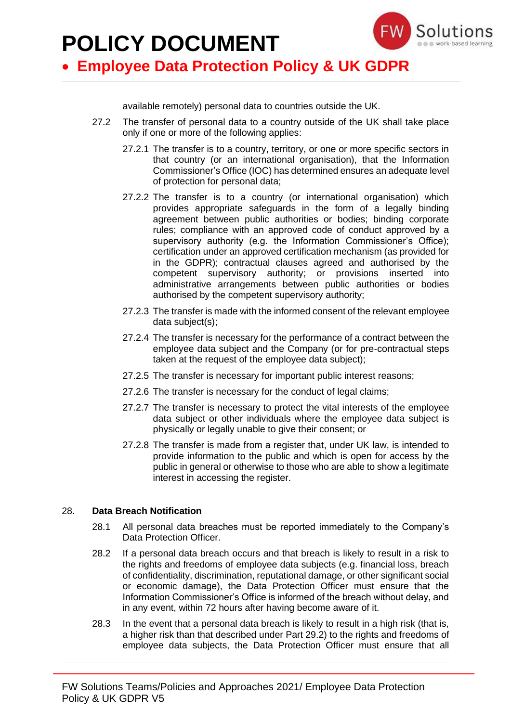

### • **Employee Data Protection Policy & UK GDPR**

available remotely) personal data to countries outside the UK.

- 27.2 The transfer of personal data to a country outside of the UK shall take place only if one or more of the following applies:
	- 27.2.1 The transfer is to a country, territory, or one or more specific sectors in that country (or an international organisation), that the Information Commissioner's Office (IOC) has determined ensures an adequate level of protection for personal data;
	- 27.2.2 The transfer is to a country (or international organisation) which provides appropriate safeguards in the form of a legally binding agreement between public authorities or bodies; binding corporate rules; compliance with an approved code of conduct approved by a supervisory authority (e.g. the Information Commissioner's Office); certification under an approved certification mechanism (as provided for in the GDPR); contractual clauses agreed and authorised by the competent supervisory authority; or provisions inserted into administrative arrangements between public authorities or bodies authorised by the competent supervisory authority;
	- 27.2.3 The transfer is made with the informed consent of the relevant employee data subject(s);
	- 27.2.4 The transfer is necessary for the performance of a contract between the employee data subject and the Company (or for pre-contractual steps taken at the request of the employee data subject);
	- 27.2.5 The transfer is necessary for important public interest reasons;
	- 27.2.6 The transfer is necessary for the conduct of legal claims;
	- 27.2.7 The transfer is necessary to protect the vital interests of the employee data subject or other individuals where the employee data subject is physically or legally unable to give their consent; or
	- 27.2.8 The transfer is made from a register that, under UK law, is intended to provide information to the public and which is open for access by the public in general or otherwise to those who are able to show a legitimate interest in accessing the register.

### 28. **Data Breach Notification**

- 28.1 All personal data breaches must be reported immediately to the Company's Data Protection Officer.
- 28.2 If a personal data breach occurs and that breach is likely to result in a risk to the rights and freedoms of employee data subjects (e.g. financial loss, breach of confidentiality, discrimination, reputational damage, or other significant social or economic damage), the Data Protection Officer must ensure that the Information Commissioner's Office is informed of the breach without delay, and in any event, within 72 hours after having become aware of it.
- 28.3 In the event that a personal data breach is likely to result in a high risk (that is, a higher risk than that described under Part 29.2) to the rights and freedoms of employee data subjects, the Data Protection Officer must ensure that all